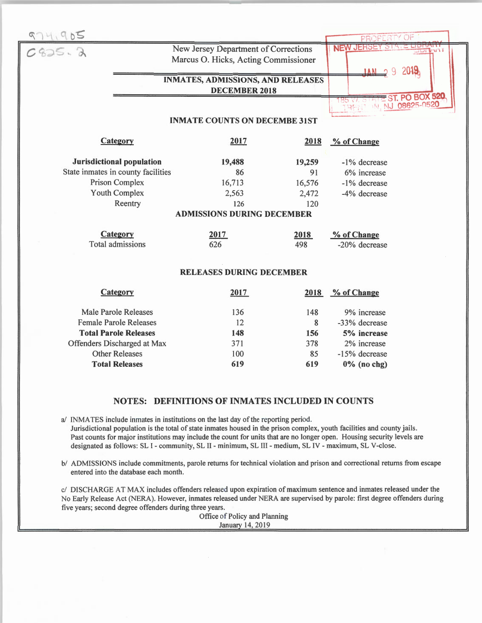| 874,905                             |                                                                              |                                      |             | PROPERTY OF<br><b>NEW JERSEY</b> |  |  |  |  |  |  |
|-------------------------------------|------------------------------------------------------------------------------|--------------------------------------|-------------|----------------------------------|--|--|--|--|--|--|
| C335.3                              | New Jersey Department of Corrections<br>Marcus O. Hicks, Acting Commissioner |                                      |             |                                  |  |  |  |  |  |  |
|                                     | <b>INMATES, ADMISSIONS, AND RELEASES</b><br><b>DECEMBER 2018</b>             |                                      |             |                                  |  |  |  |  |  |  |
|                                     |                                                                              |                                      |             |                                  |  |  |  |  |  |  |
|                                     | <b>MEST. PO BOX 520</b><br>-85<br><b>DRENT</b>                               |                                      |             |                                  |  |  |  |  |  |  |
|                                     |                                                                              | <b>INMATE COUNTS ON DECEMBE 31ST</b> |             |                                  |  |  |  |  |  |  |
| Category                            |                                                                              | 2017                                 | 2018        | % of Change                      |  |  |  |  |  |  |
| Jurisdictional population           |                                                                              | 19,488                               | 19,259      | -1% decrease                     |  |  |  |  |  |  |
| State inmates in county facilities  |                                                                              | 86                                   | 91          | 6% increase                      |  |  |  |  |  |  |
| <b>Prison Complex</b>               |                                                                              | 16,713                               | 16,576      | -1% decrease                     |  |  |  |  |  |  |
| <b>Youth Complex</b>                |                                                                              | 2,563                                | 2,472       | -4% decrease                     |  |  |  |  |  |  |
| Reentry                             |                                                                              | 126                                  | 120         |                                  |  |  |  |  |  |  |
|                                     |                                                                              | <b>ADMISSIONS DURING DECEMBER</b>    |             |                                  |  |  |  |  |  |  |
| Category<br><b>Total admissions</b> |                                                                              | 2017<br>626                          | 2018<br>498 | % of Change<br>-20% decrease     |  |  |  |  |  |  |
|                                     |                                                                              |                                      |             |                                  |  |  |  |  |  |  |
|                                     |                                                                              | <b>RELEASES DURING DECEMBER</b>      |             |                                  |  |  |  |  |  |  |
| Category                            |                                                                              | 2017                                 | 2018        | % of Change                      |  |  |  |  |  |  |
| <b>Male Parole Releases</b>         |                                                                              | 136                                  | 148         | 9% increase                      |  |  |  |  |  |  |
| <b>Female Parole Releases</b>       |                                                                              | 12                                   | 8           | -33% decrease                    |  |  |  |  |  |  |
| <b>Total Parole Releases</b>        |                                                                              | 148                                  | 156         | 5% increase                      |  |  |  |  |  |  |
| Offenders Discharged at Max         |                                                                              | 371                                  | 378         | 2% increase                      |  |  |  |  |  |  |
| <b>Other Releases</b>               |                                                                              | 100                                  | 85          | -15% decrease                    |  |  |  |  |  |  |
| <b>Total Releases</b>               |                                                                              | 619                                  | 619         | $0\%$ (no chg)                   |  |  |  |  |  |  |
|                                     | <b>NOTES: DEFINITIONS OF INMATES INCLUDED IN COUNTS</b>                      |                                      |             |                                  |  |  |  |  |  |  |

a/ INMATES include inmates in institutions on the last day of the reporting period. Jurisdictional population is the total of state inmates housed in the prison complex, youth facilities and county jails. Past counts for major institutions may include the count for units that are no longer open. Housing security levels are designated as follows: SL I - community, SL II - minimum, SL III - medium, SL IV - maximum, SL V-close.

*bl* ADMISSIONS include commitments, parole returns for technical violation and prison and correctional returns from escape entered into the database each month.

*cl* DISCHARGE AT MAX includes offenders released upon expiration of maximum sentence and inmates released under the No Early Release Act (NERA). However, inmates released under NERA are supervised by parole: first degree offenders during five years; second degree offenders during three years.

Office of Policy and Planning January 14, 2019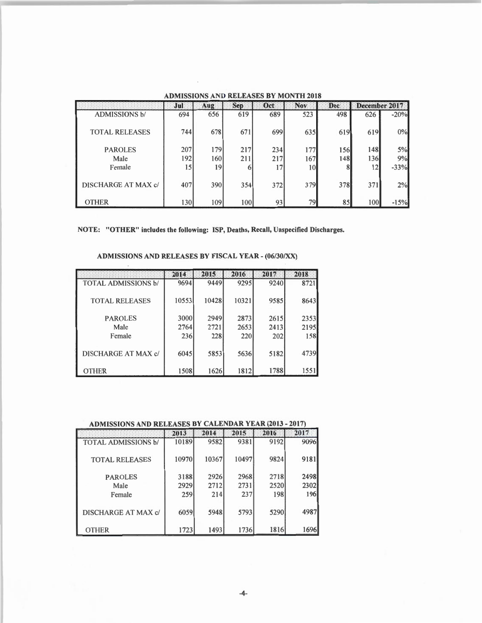|                       | Jul | Aug | Sep | Oct | Nov | Dec |     | December 2017 |
|-----------------------|-----|-----|-----|-----|-----|-----|-----|---------------|
| <b>ADMISSIONS b/</b>  | 694 | 656 | 619 | 689 | 523 | 498 | 626 | $-20%$        |
| <b>TOTAL RELEASES</b> | 744 | 678 | 671 | 699 | 635 | 619 | 619 | 0%            |
| <b>PAROLES</b>        | 207 | 179 | 217 | 234 | 177 | 156 | 148 | 5%            |
| Male                  | 192 | 160 | 211 | 217 | 167 | 148 | 136 | 9%            |
| Female                | 15  | 19  |     |     | 10  |     | 12  | $-33%$        |
| DISCHARGE AT MAX c/   | 407 | 390 | 354 | 372 | 379 | 378 | 371 | 2%            |
| <b>OTHER</b>          | 130 | 109 | 100 | 93  | 79  | 85  | 100 | $-15%$        |

ADMISSIONS AND RELEASES BY MONTH 2018

NOTE: "OTHER" includes the following: ISP, Deaths, Recall, Unspecified Discharges.

ADMISSIONS AND RELEASES BY FISCAL YEAR - (06/30/XX)

|                            | 2014  | 2015  | 2016  |      | 2018 |
|----------------------------|-------|-------|-------|------|------|
| <b>TOTAL ADMISSIONS b/</b> | 9694  | 9449  | 9295  | 9240 | 8721 |
| <b>TOTAL RELEASES</b>      | 10553 | 10428 | 10321 | 9585 | 8643 |
| <b>PAROLES</b>             | 3000  | 2949  | 2873  | 2615 | 2353 |
| Male                       | 2764  | 2721  | 2653  | 2413 | 2195 |
| Female                     | 236   | 228   | 220   | 202  | 158  |
| DISCHARGE AT MAX c/        | 6045  | 5853  | 5636  | 5182 | 4739 |
| <b>OTHER</b>               | 1508  | 1626  | 1812  | 1788 | 1551 |

ADMISSIONS AND RELEASES BY CALENDAR YEAR (2013 - 2017)

|                            | 2013  | 2014  | 2015  | 2016 | 2017       |
|----------------------------|-------|-------|-------|------|------------|
| <b>TOTAL ADMISSIONS b/</b> | 10189 | 9582  | 9381  | 9192 | 9096       |
| <b>TOTAL RELEASES</b>      | 10970 | 10367 | 10497 | 9824 | 9181       |
| <b>PAROLES</b>             | 3188  | 2926  | 2968  | 2718 | 2498       |
| Male                       | 2929  | 2712  | 2731  | 2520 | 2302       |
| Female                     | 259   | 214   | 237   | 198  | <b>196</b> |
| <b>DISCHARGE AT MAX c/</b> | 6059  | 5948  | 5793  | 5290 | 4987       |
| <b>OTHER</b>               | 1723  | 1493  | 1736  | 1816 | 1696       |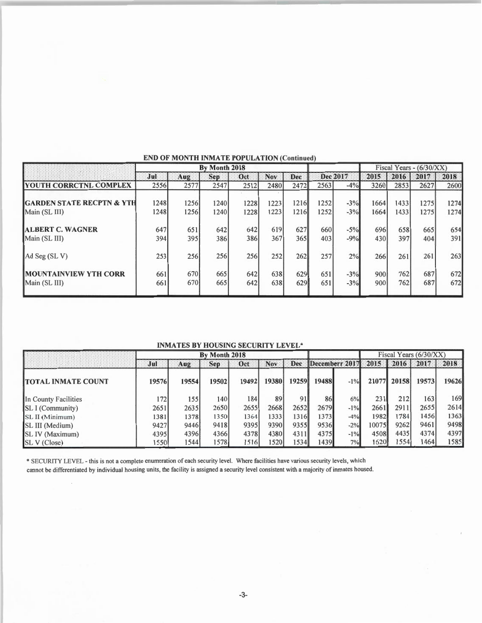|                                                | By Month 2018 |            |            |            |            |            |            | Fiscal Years - $(6/30/XX)$ |            |            |            |            |
|------------------------------------------------|---------------|------------|------------|------------|------------|------------|------------|----------------------------|------------|------------|------------|------------|
|                                                | Jul           | Aug.       | Sep        | Oct:       | Nov.       | <b>Dec</b> |            | Dec 2017                   | 2015       | 2016       | 2017       | 2018       |
| YOUTH CORRCTNL COMPLEX                         | 2556          | 2577       | 2547       | 2512       | 2480       | 2472       | 2563       | $-4\%$                     | 3260       | 2853       | 2627       | 2600       |
| <b>GARDEN STATE RECPTN &amp; YTH</b>           | 1248          | 1256       | 1240       | 1228       | 1223       | 1216       | 1252       | $-3%$                      | 1664       | 1433       | 1275       | 1274       |
| Main (SL III)                                  | 1248          | 1256       | 1240       | 1228       | 1223       | 1216       | 1252       | $-3%$                      | 1664       | 1433       | 1275       | 1274       |
| <b>ALBERT C. WAGNER</b>                        | 647           | 651        | 642        | 642        | 619        | 627        | 660        | $-5%$                      | 696        | 658        | 665        | 654        |
| Main (SL III)                                  | 394           | 395        | 386        | 386        | 367        | 365        | 403        | $-9%$                      | 430        | 397        | 404        | 391        |
| Ad Seg $(SL V)$                                | 253           | 256        | 256        | 256        | 252        | 262        | 257        | 2%                         | 266        | 261        | 261        | 263        |
| <b>IMOUNTAINVIEW YTH CORR</b><br>Main (SL III) | 661<br>661    | 670<br>670 | 665<br>665 | 642<br>642 | 638<br>638 | 629<br>629 | 651<br>651 | $-3%$<br>$-3%$             | 900<br>900 | 762<br>762 | 687<br>687 | 672<br>672 |

## **END OF MONTH INMATE POPULATION (Continued)**

**INMATES BY HOUSING SECURITY LEVEL\*** 

|                           | By Month 2018 |       |       |       |       |       |       |                          |       |                   | Fiscal Years $(6/30/XX)$ |       |
|---------------------------|---------------|-------|-------|-------|-------|-------|-------|--------------------------|-------|-------------------|--------------------------|-------|
|                           | Jul           | Aug   | Sep   | Oct   | Nov.  | Dec   |       | Decemberr 2017 2015 2016 |       |                   | 2017                     | 2018  |
| <b>TOTAL INMATE COUNT</b> | 19576         | 19554 | 19502 | 19492 | 19380 | 19259 | 19488 | $-1%$                    |       | 21077 20158       | 19573                    | 19626 |
| In County Facilities      | 1721          | 155   | 140   | 184   | 89    |       | 86    | 6%                       | 231   | 212               | 163                      | 169   |
| <b>SL I (Community)</b>   | 2651          | 2635  | 2650  | 2655  | 2668  | 2652  | 2679  | $-1%$                    | 2661  | 2911              | 2655                     | 2614  |
| $SLI$ II (Mirimum)        | 1381          | 1378  | 1350  | 1364  | 1333  | 1316  | 1373  | $-4%$                    | 1982  | 1784              | 1456                     | 1363  |
| SL III (Medium)           | 9427          | 9446  | 9418  | 9395  | 9390  | 9355  | 9536  | $-2%$                    | 10075 | 9262              | 9461                     | 9498  |
| SL IV (Maximum)           | 4395          | 4396  | 4366  | 4378  | 4380  | 4311  | 4375  | $-1\%$                   | 4508  | 4435              | 4374                     | 4397  |
| SL V (Close)              | 1550          | 1544  | 1578  | 1516  | 1520  | 1534  | 1439  | 7%                       | 1620  | 155A<br>1 J J H I | 1AFA<br>140'T            | 1585  |

\* SECURITY LEVEL - this is not a complete enumeration of each security level. Where facilities have various security levels, which cannot be differentiated by individual housing units, the facility is assigned a security level consistent with a majority of inmates housed.